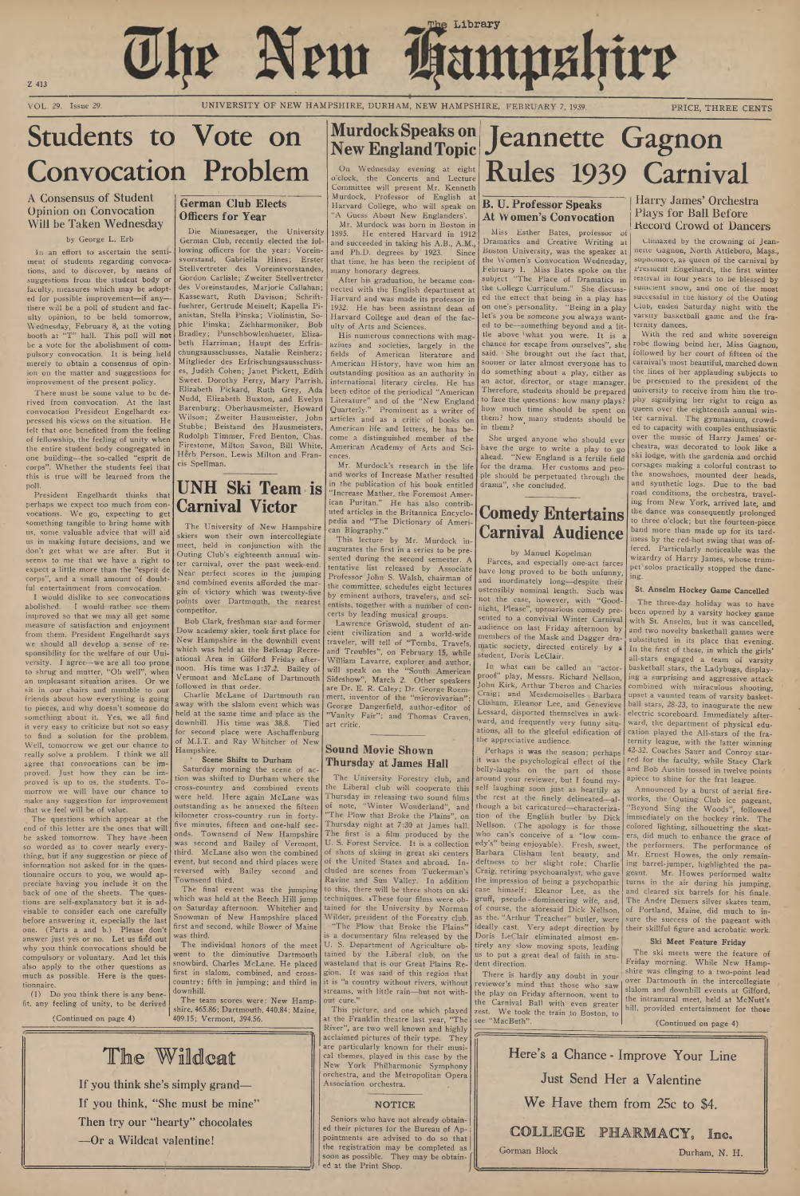Z 413

VOL. 29. Issue 29. UNIVERSITY OF NEW HAMPSHIRE, DURHAM, NEW HAMPSHIRE, FEBRUARY 7, 1939. PRICE, THREE CENTS

The New **Kampshire** 

# Students to Vote on Convocation Problem

## A Consensus of Student Opinion on Convocation Will be Taken Wednesday

#### by George L. Erb

In an effort to ascertain the sentiment of students regarding convocations, and to discover, by means of suggestions from the student body or faculty, measures which may be adopted for possible improvement—if any there will be a poll of student and fac ulty opinion, to be held tomorrow Wednesday, February 8, at the voting booth at "T" hall. This poll will not be a vote for the abolishment of compulsory convocation. It is being held merely to obtain a consensus of opin ion on the matter and suggestions for improvement of the present policy.

There must be some value to be derived from convocation. At the last convocation President Engelhardt expressed his views on the situation. He felt that one benefited from the feeling of fellowship, the feeling of unity when the entire student body congregated in one building—the so-called "esprit de corps". W hether the students feel that this is true will be learned from the poll.

President Engelhardt thinks that perhaps we expect too much from con vocations. We go, expecting to get something tangible to bring home with us, some valuable advice that will aid us in making future decisions, and we don't get what we are after. But it seems to me that we have a right to expect a little more than the "esprit de corps", and a small amount of doubtful entertainment from convocation.

I would dislike to see convocations abolished. I would rather see them improved so that we may all get some measure of satisfaction and enjoyment from them. President Engelhardt says we should all develop a sense of responsibility for the welfare of our University. 1 agree—we are all too prone to shrug and mutter, "Oh well", when an unpleasant situation arises. Or we sit in our chairs and mumble to our friends about how everything is going to pieces, and why doesn't someone do something about it. Yes, we all find it very easy to criticize but not so easy to find a solution for the problem. Well, tomorrow we get our chance to really solve a problem. I think we all agree that convocations can be improved. Just how they can be improved is up to us, the students. Tomorrow we will have our chance to make any suggestion for improvement that we feel will be of value.

The questions which appear at the end of this letter are the ones that will be asked tomorrow. They have been so worded as to cover nearly everything, but if any suggestion or piece of information not asked for in the questionnaire occurs to you, we would appreciate having you include it on the back of one of the sheets. The questions are self-explanatory but it is advisable to consider each one carefully before answering it, especially the last one. (Parts a and b.) Please don't answer just yes or no. Let us find out why you think convocations should be compulsory or voluntary. And let this also apply to the other questions as much as possible. Here is the questionnaire.

(1) Do you think there is any benefit, any feeling of unity, to be derived Mr. Murdock was born in Boston in<br>1895. He entered Harvard in 1912 1891 He entered Harvard in 1912 and succeeded in taking his A.B., A.M., and Ph.D. degrees by 1923. Since that time, he has been the recipient of many honorary degrees.

(Continued on page 4)

The Wildcat

## **German Club Elects Officers for Year**

His numerous connections with magazines and societies, largely in the fields of American literature and American History, have won him an outstanding position as an authority in international literary circles. He has been editor of the periodical "American Literature" and of the "New England Quarterly." Prominent as a writer of articles and as a critic of books on American life and letters, he has be come a distinguished member of the American Academy of Arts and Sciences.

Die Minnesaeger, the University German Club, recently elected the following officers for the year: Voreinsvorstand, Gabriella Hines; Erster Stellvertreter des Voreinsvorstandes, Gordon Carlisle; Zweiter Stellvertreter des Voreinstandes, Marjorie Callahan; Kassewart, Ruth Davison; Schriftfuehrer, Gertrude Meinelt; Kapella Pianistan, Stella Pinska; Violinistin, Sophie Pinska; Ziehharmoniker, Bob Bradley; Punschbowlenhueter, Eliza beth Harriman; Haupt des Erfrischungsausschusses, Natalie Reinherz; Mitglieder des Erfrischungsausschusses, Judith Cohen; Janet Pickett, Edith Sweet. Dorothy Ferry, Mary Parrish, Elizabeth Pickard, Ruth Grey, Ada Nudd, Elizabeth Buxton, and Evelyn Barenburg; Oberhausmeister, Howard W ilson; Zweiter Hausmeister, John Stubbe; Beistand des Hausmeisters, Rudolph Timmer, Fred Benton, Chas. Firestone, Milton Savon, Bill White, Herb Person, Lewis Milton and Fran cis Spellman.

# **UNH Ski Team is Carnival Victor**

The University of New Hampshire skiers won their own intercollegiate meet, held in conjunction with the Outing Club's eighteenth annual winter carnival, over the past week-end. Near perfect scores in the jumping and combined events afforded the margin of victory which was twenty-five points over Dartmouth, the nearest competitor.

Bob Clark, freshman star and former Dow academy skier, took first place for New Hampshire in the downhill event which was held at the Belknap Recreational Area in Gilford Friday afternoon. His time was 1:37.2. Bailey of Vermont and McLane of Dartmouth followed in that order.

Charlie McLane of Dartmouth ran away with the slalom event which was held at the same time and place as the downhill. His time was 38.8. Tied for second place were Aschaffenburg of M.I.T. and Ray Whitcher of New Hampshire.

#### **Scene Shifts to Durham**

Saturday morning the scene of action was shifted to Durham where the cross-country and combined events were held. Here again McLane was outstanding as he annexed the fifteen kilometer cross-country run in fortyfive minutes, fifteen and one-half seconds. Townsend of New Hampshire

was second and Bailey of Vermont, third. McLane also won the combined event, but second and third places were reversed with Bailey second and Townsend third.

The final event was the jumping which was held at the Beech Hill jump on Saturday afternoon. W hitcher and Snowman of New Hampshire placed first and second, while Bower of Maine was third.

In what can be called an "actorproof" play, Messrs. Richard Nellson, John Kirk, Arthur Theros and Charles Craig; and Mesdemoiselles Barbara Clisham, Eleanor Lee, and Genevieve Lessard, disported themselves in awkward, and frequently very funny situations, all to the gleeful edification of the appreciative audience.

The individual honors of the meet went to the diminutive Dartmouth snowbird, Charles McLane. He placed first in slalom, combined, and crosscountry; fifth in jumping; and third in downhill.

The team scores were: New Hampshire, 465.86; Dartmouth, 440.84; Maine, 409.15; Vermont, 394.56.

#### **NOTICE**

# **Murdock Speaks on New England Topic**

On Wednesday evening at eight o'clock, the Concerts and Lecture Committee will present Mr. Kenneth Murdock, Professor of English at Harvard College, who will speak on "A Guess About New Englanders'.

After his graduation, he became connected with the English department at Harvard and was made its professor in 1932. He has been assistant dean of Harvard College and dean of the fac ulty of Arts and Sciences.

With the red and white sovereign robe flowing beind her, Miss Gagnon, followed by her court of fifteen of the carnival's most beautiful, marched down the lines of her applauding subjects to be presented to the president of the university to receive from him the trophy signifying her right to reign as queen over the eighteenth annual winter carnival. The gymnasium, crowded to capacity with couples enthusiastic over the music of Harry James' orchestra, was decorated to look like a ski lodge, with the gardenia and orchid corsages making a, colorful contrast to the snowshoes, mounted deer heads, and synthetic logs. Due to the bad road conditions, the orchestra, traveling from New York, arrived late, and the dance was consequently prolonged to three o'clock; but the fourteen-piece band more than made up for its tardiness by the red-hot swing that was offered. Particularly noticeable was the wizardry of Harry James, whose trumpet solos practically stopped the dancing.

Mr. Murdock's research in the life and works of Increase Mather resulted in the publication of his book entitled "Increase Mather, the Foremost American Puritan." He has also contributed articles in the Britannica Encyclo pedia and "The Dictionary of Ameri can Biography."

> The three-day holiday was to have been opened by a varsity hockey game with St. Anselm, but it was cancelled, and two novelty basketball games were substituted in its place that evening. In the first of these, in which the girls' all-stars engaged a team of varsity basketball stars, the Ladybugs, displaying a surprising and aggressive attack combined with miraculous shooting, upset a vaunted team of varsity basketball stars, 28-23, to inaugurate the new electric scoreboard. Immediately afterward, the department of physical education played the All-stars of the fraternity league, with the latter winning 42-32. Coaches Sauer and Conroy starred for the faculty, while Stacy Clark and Bob Austin tossed in twelve points apiece to shine for the frat league.

This lecture by Mr. Murdock in augurates the first in a series to be presented during the second semester. A tentative list released by Associate Professor John S. Walsh, chairman of the committee, schedules eight lectures by eminent authors, travelers, and scientists, together with a number of concerts by leading musical groups.

Lawrence Griswold, student of ancient civilization and a world-w'ide traveler, will tell of "Tombs, Travels, and Troubles", on February 15, while William Lavarre, explorer and author, will speak on the "South American Sideshow", March 2. Other speakers are Dr. E. R. Caley; Dr. George Roemmert, inventor of the "microvivarian" George Dangerfield, author-editor of 'Vanity Fair": and Thomas Craven, art critic.

If you think she's simply grand—

If you think, "She must be mine'

Then try our "hearty" chocolates

—Or a Wildcat valentine!

## **Sound Movie Shown Thursday at James Hall**

The University Forestry club, and the Liberal club will cooperate this Thursday in releasing two sound films of note, "Winter Wonderland", and "The Plow that Broke the Plains", on Thursday night at 7:30 at James hall. The first is a film produced by the U. S. Forest Service. It is a collection of shots of skiing in great ski centers of the United States and abroad. Included are scenes from Tuckerman's Ravine and Sun Valley. In addition to this, there will be three shots on ski techniques. These four films were obtained for the University by Norman Wilder, president of the Forestry club. "The Plow that Broke the Plains" is a documentary film released by the U. S. Department of Agriculture obtained by the Liberal club, on the wasteland that is our Great Plains Region. It was said of this region that it is "a country without rivers, without streams, with little rain—but not without cure.' This picture, and one which played at the Franklin theatre last year, "The River", are two well known and highly acclaimed pictures of their type. They are particularly known for their musical themes, played in this case by the New York Philharmonic Symphony orchestra, and the Metropolitan Opera Association orchestra.

# Jeannette Gagnon Rules 1939 Carnival

## **B. U. Professor Speaks At Women's Convocation**

Miss Esther Bates, professor of Dramatics and Creative Writing at Boston University, was the speaker at the Women's Convocation Wednesday, February 1. Miss Bates spoke on the subject "The Place of Dramatics in the College Curriculum." She discussed the ettect that being in a play has on one's personality. "Being in a play let's you be someone you always wanted to be—something beyond and a little above 'w hat you were. It is a chance for escape from ourselves", she said. She brought out the fact that, sooner or later almost everyone has to do something about a play, either as an actor, director, or stage manager. Therefore, students should be prepared to face the questions: how many plays? how much time should be spent on them? how many students should be in them?

She urged anyone who should ever have the urge to write a play to go ahead. "New England is a fertile field for the drama. Her customs and people should be perpetuated through the drama", she concluded.

# **Comedy Entertains Carnival Audience**

#### by Manuel Kopelman

harces, and especially one-act farces have long proved to be both unfunny, and inordinately long—despite their ostensibly nominal length. Such was not the case, however, with "Goodnight, Please", uproarious comedy presented to a convivial Winter Carnival audience on last Friday afternoon by members of the Mask and Dagger dramatic society, directed entirely by a student, Doris LeClair.

Perhaps it was the season; perhaps it was the psychological effect of the belly-laughs on the part of those around your reviewer, but I found myself laughing soon just as heartily as the rest at the finely delineated—although a bit caricatured—characterization of the English butler by Dick Nellson. (The apology is for those who can's conceive of a "low comedy's" being enjoyable). Fresh, sweet, Barbara Clisham lent beauty, and deftness to her slight role; Charlie Craig, retiring psychoanalyst, who gave the impression of being a psychopathic case himself; Eleanor Lee, as the gruff, pseudo - domineering wife, and, of course, the aforesaid Dick Nellson, as the. "Arthur Treacher" butler, were ideally cast. \ ery adept direction by Doris LeClair eliminated almost entirely any slow moving spots, leading us to put a great deal of faith in student direction. There is hardly any doubt in your reviewer's mind that those who saw the play on Friday afternoon, went to the Carnival Ball with even greater zest. We took the train to Boston, to see "MacBeth".

## Harry James' Orchestra Plays for Ball Before Kecord Crowd of Dancers

climaxed by the crowning of Jeannette Gagnon, North Attleboro, Mass., sophomore, as queen of the carnival by President Engelhardt, the first winter testivai in four years to be blessed by suincient snow, and one of the most successful in the history of the Outing Club, ended Saturday night with the varsity basketball game and the fraternity dances.

#### **St. Anselm Hockey Game Cancelled**

Announced by a burst of aerial fireworks, the Outing Club ice pageant, 'Beyond Sing the Woods", followed immediately on the hockey rink. The colored lighting, silhouetting the skatrs, did much to enhance the grace of the performers. The performance of Mr. Ernest Howes, the only remaining barrel-jumper, highlighted the pageant. Mr. Howes performed waltz turns in the air during his jumping, and cleared six barrels for his finale. The Andre Demers silver skates team, of Portland, Maine, did much to insure the success of the pageant with their skillful figure and acrobatic work.

#### **Ski Meet Feature Friday**

The ski meets were the feature of Friday morning. While New Hampshire was clinging to a two-point lead over Dartmouth in the intercollegiate slalom and downhill events at Gilford, the intramural meet, held at McNutt's hill, provided entertainment for those

**(Continued on page 4)**

*tr -*

Seniors who have not already obtained their pictures for the Bureau of Appointments are advised to do so that the registration may be completed as soon as possible. They may be obtained at the Print Shop.

Here's a Chance - Improve Your Line Just Send Her a Valentine We Have them from 25c to \$4. COLLEGE PHARMACY, Inc. Gorman Block Durham, N. H.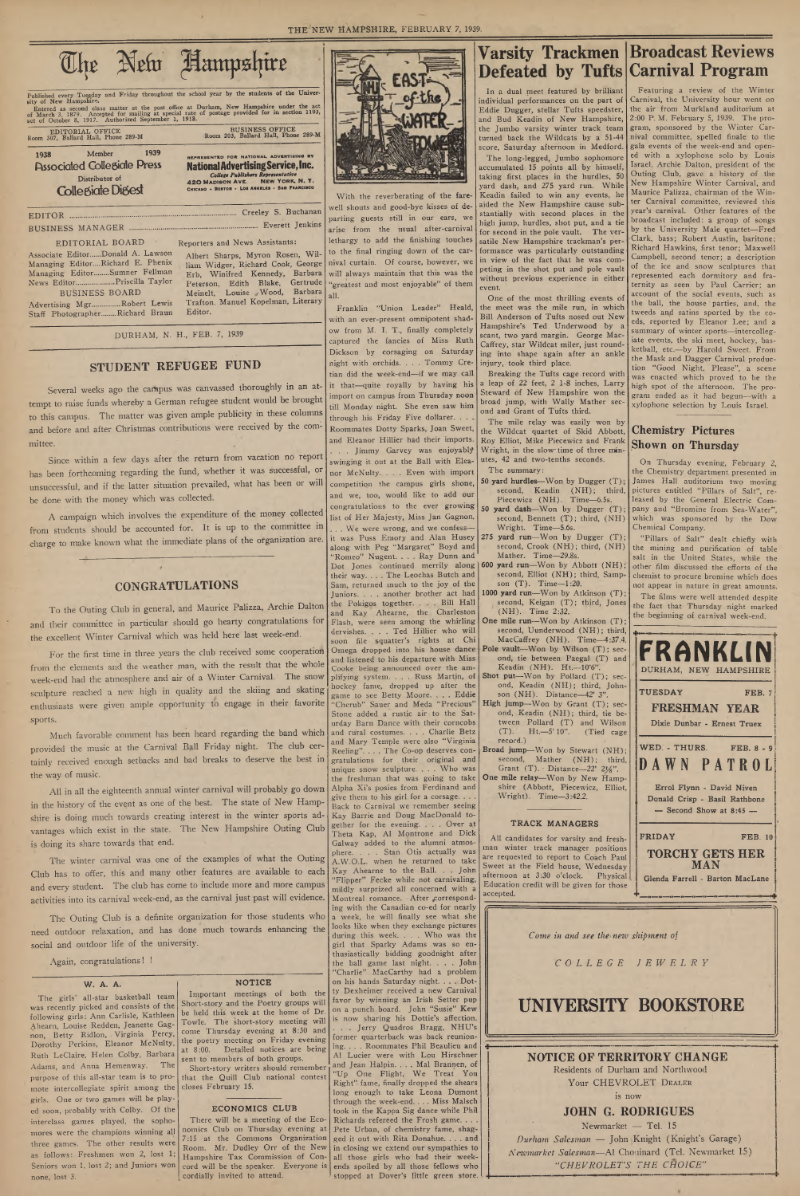To the Outing Club in general, and Maurice Palizza, Archie Dalton and their committee in particular should go hearty congratulations for the excellent Winter Carnival which was held here last week-end.

# **STUDENT REFUGEE FUND**

Several weeks ago the campus was canvassed thoroughly in an attempt to raise funds whereby a German refugee student would be brought to this campus. The matter was given ample publicity in these columns and before and after Christmas contributions were received by the committee.

Since within a few days after the return from vacation no report has been forthcoming regarding the fund, whether it was successful, or unsuccessful, and if the latter situation prevailed, what has been or will be done with the money which was collected.

A campaign which involves the expenditure of the money collected from students should be accounted for. It is up to the committee in charge to make known what the immediate plans of the organization are.

### **CONGRATULATIONS**

For the first time in three years the club received some cooperation from the elements and the weather man, with the result that the whole week-end had the atmosphere and air of a Winter Carnival. The snow sculpture reached a new high in quality and the skiing and skating enthusiasts were given ample opportunity to engage in their favorite .sports.

| Published every Tuesday and Friday throughout the school year by the students of the Univer-<br>sity of New Hampshire.<br>Entered as second class matter at the post office at Durham, New Hampshire under the act<br>of March 3, 1879. Accepted for mailing at special rate of postage provided for in section 1103,<br>act of October 8, 1917. Authorized September 1, 1918.<br><b>BUSINESS OFFICE</b><br><b>EDITORIAL OFFICE</b>                                                                                                                                                                                                                                            |       |
|--------------------------------------------------------------------------------------------------------------------------------------------------------------------------------------------------------------------------------------------------------------------------------------------------------------------------------------------------------------------------------------------------------------------------------------------------------------------------------------------------------------------------------------------------------------------------------------------------------------------------------------------------------------------------------|-------|
| Room 203, Ballard Hall, Phone 289-M<br>Room 307, Ballard Hall, Phone 289-M<br>1939<br>Member<br>1938<br>REPRESENTED FOR NATIONAL ADVERTISING BY<br><b>Associated Collegiate Press</b><br><b>National Advertising Service, Inc.</b><br>College Publishers Representative<br>Distributor of<br>NEW YORK, N.Y.<br><b>420 MADISON AVE.</b><br>CHICAGO - BOSTON - LOS ANGELES - SAN FRANCISCO<br><b>Collegiate Digest</b>                                                                                                                                                                                                                                                           | With  |
| well sho<br>parting<br>arise f<br>lethargy<br>EDITORIAL BOARD<br>Reporters and News Assistants:<br>to the<br>Associate EditorDonald A. Lawson<br>Albert Sharps, Myron Rosen, Wil-<br>Managing Editor Richard E. Phenix<br>nival cu<br>liam Widger, Richard Cook, George<br>Managing EditorSumner Fellman<br>Erb, Winifred Kennedy, Barbara<br>will alw<br>News EditorPriscilla Taylor<br>Peterson, Edith Blake, Gertrude<br>"greates<br>Meinelt, Louise Wood, Barbara<br><b>BUSINESS BOARD</b><br>all.<br>Trafton. Manuel Kopelman, Literary<br>Advertising MgrRobert Lewis<br>Editor.<br>Staff PhotographerRichard Braun<br>with an<br>ow from<br>DURHAM, N. H., FEB. 7, 1939 | Frank |

Much favorable comment has been heard regarding the band which provided the music at the Carnival Ball Friday night. The club certainly received enough setbacks and bad breaks to deserve the best in the way of music.

All in all the eighteenth annual winter carnival will probably go down in the history of the event as one of the best. The state of New Hampshire is doing much towards creating interest in the winter sports advantages which exist in the state. The New Hampshire Outing Club



the reverberating of the fareouts and good-bye kisses of deguests still in our ears, we om the usual after-carnival to add the finishing touches final ringing down of the carrtain. Of course, however, we ays maintain that this was the and most enjoyable" of them

Iin "Union Leader" Heald,

is doing its share towards that end.

The winter carnival was one of the examples of what the Outing Club has to offer, this and many other features are available to each and every student. The club has come to include more and more campus activities into its carnival week-end, as the carnival just past will evidence.

The Outing Club is a definite organization for those students who need outdoor relaxation, and has done much towards enhancing the social and outdoor life of the university.

Again, congratulations! !

#### **W. A. A.**

The girls' all-star basketball team was recently picked and consists of the following girls: Ann Carlisle, Kathleen Ahearn, Louise Redden, Jeanette Gagnon, Betty Ridlon, Virginia Percy, Dorothy Perkins, Eleanor McNulty, Ruth LeClaire, Helen Colby, Barbara Adams, and Anna Hemenway. The purpose of this all-star team is to promote intercollegiate spirit among the girls. One or two games will be played soon, probably with Colby. Of the interclass games played, the sophomores were the champions winning all three games. The other results were as follows: Freshmen won 2, lost 1; Seniors won 1, lost 2; and Juniors won none, lost 3.

### **NOTICE**

In a dual meet featured by brilliant individual performances on the part of Eddie Dugger, stellar Tufts speedster, and Bud Keadin of New Hampshire, the Jumbo varsity winter track team turned back the Wildcats by a 51-44 score, Saturday afternoon in Medford.

Im portant meetings of both the Short-story and the Poetry groups will be held this week at the home of Dr. Towle. The short-story meeting will come Thursday evening at 8:30 and the poetry meeting on Friday evening at 8:00. Detailed notices are being sent to members of both groups.

Short-story writers should remember that the Quill Club national contest closes February 15.

#### **ECONOMICS CLUB**

There will be a meeting of the Economics Club on Thursday evening at 7:15 at the Commons Organization Room. Mr. Dudley Orr of the New cordially invited to attend.

- 50 yard hurdles-Won by Dugger (T) second, Keadin (NH); third, Piecewicz (NH). Time-6.5s.
- 50 yard dash-Won by Dugger (T) second, Bennett (T); third, (NH) Wright. Time-5.6s.
- 275 yard run-Won by Dugger (T) second, Crook (NH); third, (NH) Mather. Time—29.8s.
- yard run-Won by Abbott (NH) second, Elliot (NH); third, Sampson (T). Time-1:20.
- second, Keigan (T); third, Jones (NH). Time 2:32.
- second, Uunderwood (NH); third,  $MacCaffrev (NH)$ . Time-4:37.4.
- ond, tie between Paegal (T) and Keadin (NH). Ht .- 10'6". Shot put-Won by Pollard (T); sec-
- ond, Keadin (NH); third, Johnson (NH). Distance-42' 3". High jump-Won by Grant (T); sec-
- ond, Keadin (NH); third, tie between Pollard  $(T)$  and Wilson  $(T)$ . Ht. -5' 10". (Tied cage (T). Ht.—5' 10". (Tied cage record.)
- Broad jump-Won by Stewart (NH); second, Mather (NH); third, Grant  $(T)$ . Distance—22' 2 $\frac{1}{8}$ ".
- One mile relay-Won by New Hampshire (Abbott, Piecewicz, Elliot, W right). Time—3:42.2.

Featuring a review of the Winter Carnival, the University hour went on the air from Murkland auditorium at 2:00 P.M. February 5, 1939. The program, sponsored by the Winter Carnival committee, spelled finale to the gala events of the week-end and opened with a xylophone solo by Louis Israel. Archie Dalton, president of the Outing Club, gave a history of the New Hampshire Winter Carnival, and Maurice Palizza, chairman of the Winter Carnival committee, reviewed this year's carnival. Other features of the broadcast included: a group of songs by the University Male quartet—Fred Clark, bass; Robert Austin, baritone; Richard Hawkins, first tenor; Maxwell Campbell, second tenor; a description of the ice and snow sculptures that represented each dormitory and fraternity as seen by Paul Carrier; an account of the social events, such as the ball, the house parties, and, the tweeds and satins sported by the coeds, reported by Eleanor Lee; and a summary of winter sports—intercollegiate events, the ski meet, hockey, basketball, etc.—by Harold Sweet. From the Mask and Dagger Carnival production "Good Night, Please", a scene was enacted which proved to be the high spot of the afternoon. The program ended as it had begun—with a xylophone selection by Louis Israel.

Hampshire Tax Commission of Con-all those girls who had their weekcord will be the speaker. Everyone is ends spoiled by all those fellows who ever-present omnipotent shadn M. I. T., finally completely captured the fancies of Miss Ruth Dickson by corsaging on Saturday night with orchids. . . . Tommy Cretian did the week-end—if we may call it that—quite royally by having his import on campus from Thursday noon till Monday night. She even saw him through his Friday Five dollarer. . Roommates Dotty Sparks, Joan Sweet, and Eleanor Hillier had their imports. . . . Jimmy Garvey was enjoyably swinging it out at the Ball with Eleanor McNulty. . . . Even with import competition the campus girls shone, and we, too, would like to add our congratulations to the ever growing list of Her Majesty, Miss Jan Gagnon. . We were wrong, and we confessit was Puss Emory and Alan Husey along with Peg "Margaret" Boyd and 'Romeo" Nugent. . . . Ray Dunn and Dot Jones continued merrily along | 600 their way. . . . The Leochas Butch and Sam, returned much to the joy of the Juniors. . . . another brother act had 1000 yard run—Won by Atkinson (T); the Pokigos together. . . . Bill Hall and Kay Ahearne, the Charleston Flash, were seen among the whirling One mile run—Won by Atkinson (T); dervishes. . . . Ted Hillier who will soon file squatter's rights at Chi Omega dropped into his house dance **Pole vault**—Won by Wilson (T); secand listened to his departure with Miss Cooke being announced over the amplifying system. . . . Russ Martin, of hockey fame, dropped up after the game to see Betty Moore. . . . Eddie "Cherub" Sauer and Meda "Precious" Stone added a rustic air to the Saturday Barn Dance with their corncobs and rural costumes. . . . Charlie Betz and Mary Temple were also "Virginia Reeling". . . . The Co-op deserves congratulations for their original and unique snow sculpture. . . . Who was the freshman that was going to take Alpha Xi's posies from Ferdinand and give them to his girl for a corsage. . . . Back to Carnival we remember seeing Kay Barrie and Doug MacDonald together for the evening. . . . Over at heta Kap, Al Montrone and Dick Galway added to the alumni atmosphere. . . . Stan Otis actually was A.W.O.L. when he returned to take Kay Ahearne to the Ball. . . John "Flipper" Fecke while not carnivaling, mildly surprized all concerned with a Montreal romance. After corresponding with the Canadian co-ed for nearly a week, he will finally see what she looks like when they exchange pictures during this week. . . . Who was the girl that Sparky Adams was so enthusiastically bidding goodnight after the ball game last night. . . . John "Charlie" MacCarthy had a problem on his hands Saturday night. . . . Dotty Dexheimer received a new Carnival favor by winning an Irish Setter pup on a punch board. John "Susie" Kew is now sharing his Dottie's affection. . . Jerry Quadros Bragg, NHU's former quarterback was back reunioning. . . . Roommates Phil Beaulieu and A1 Lucier were with Lou Hirschner and Jean Halpin. . . . Mai Brannen, of "Up One Flight, We Treat You Right" fame, finally dropped the shears long enough to take Leona Dumont through the week-end. . . . Miss Malsch took in the Kappa Sig dance while Phil Richards refereed the Frosh game. . . . Pete Urban, of chemistry fame, shagged it out with Rita Donahue. . . . and in closing we extend our sympathies to stopped at Dover's little green store.

The long-legged, Jumbo sophomore accumulated 15 points all by himself, taking first places in the hurdles, 50 yard dash, and 275 yard run. While Keadin failed to win any events, he aided the New Hampshire cause substantially with second places in the high jump, hurdles, shot put, and a tie for second in the pole vault. The versatile New Hampshire trackman's performance was particularly outstanding in view of the fact that he was competing in the shot put and pole vault without previous experience in either event.

One of the most thrilling events of the meet was the mile run, in which Bill Anderson of Tufts nosed out New Hampshire's Ted Underwood by a scant, two yard margin. George Mac-Caffrey, star Wildcat miler, just rounding into shape again after an ankle injury, took third place.

Breaking the Tufts cage record with a leap of 22 feet, 2 1-8 inches, Larry Steward of New Hampshire won the broad jump, with Wally Mather second and Grant of Tufts third.

# **Varsity Trackmen Broadcast Reviews Defeated by Tufts Carnival Program**

The mile relay was easily won by the Wildcat quartet of Skid Abbott, Roy Elliot, Mike Piecewicz and Frank Wright, in the slow time of three minutes, 42 and two-tenths seconds.

The summary:

# **Chemistry Pictures Shown on Thursday**

On Thursday evening, February 2, the Chemistry department, presented in James Hall auditorium two moving pictures entitled "Pillars of Salt", released by the General Electric Company and "Bromine from Sea-Water", which was sponsored by the Dow Chemical Company.

"Pillars of Salt" dealt chiefly with the mining and purification of table salt in the United States, while the other film discussed the efforts of the chemist to procure bromine which does not appear in nature in great amounts.

The films were well attended despite the fact that Thursday night marked the beginning of carnival week-end.

| FRANKLIN<br>DURHAM, NEW HAMPSHIRE                                                         |
|-------------------------------------------------------------------------------------------|
| TUESDAY<br>FEB. 7<br><b>FRESHMAN YEAR</b><br>Dixie Dunbar - Ernest Truex                  |
| WED. - THURS. FEB. 8 - 9<br>DAWN PATROL                                                   |
| Errol Flynn - David Niven<br>Donald Crisp - Basil Rathbone<br>$-$ Second Show at 8:45 $-$ |
| EPINAV<br>FF P<br>1 <sub>0</sub>                                                          |

**TRACK MANAGERS** All candidates for varsity and freshman winter track manager positions are requested to report to Coach Paul Sweet at the Field house, Wednesday afternoon at 3:30 o'clock. Physical Education credit will be given for those accepted. **FRIDAY FEB. 10 TORCHY GETS HER ! MAN j Glenda Farrell - Barton MacLane !** *Come in and see the new shipment of COLLEGE JEWELRY* **UNIVERSITY BOOKSTORE NOTICE OF TERRITORY CHANGE** Residents of Durham and Northwood Your CHEVROLET DEALER is now **JOHN G. RODRIGUES** Newmarket — Tel. 15 *Durham Salesman* — John Knight (Knight's Garage) *■Newmarket Salesman*—A1 Chouinard (Tel. Newmarket 15) "*C H E V R O L E T 'S T H E CH OICE"*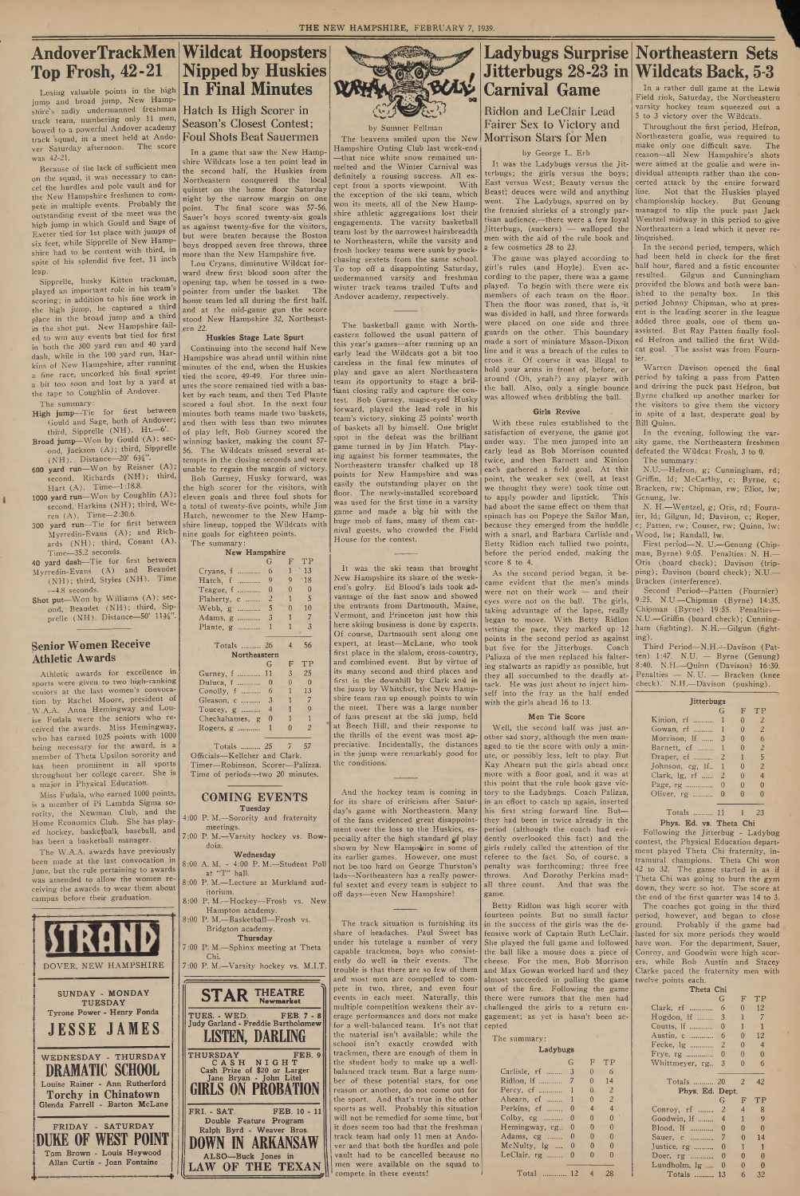# **AndoverTrackMen Wildcat Hoopsters Top Frosh, 42-21** Losing valuable points in the high

jump and broad jump, New Hampshire's sadly undermanned freshman track team, numbering only 11 men, bowed to a powerful Andover academy track squad, in a meet held at Andover Saturday afternoon. The score was 42-21.

Because of the lack of sufficient men on the squad, it was necessary to cancel the hurdles and pole vault and for the New Hampshire freshmen to compete in multiple events. Probably the outstanding event of the meet was the high jump in which Gould and Sage of Exeter tied for 1st place with jumps of six feet, while Sipprelle of New Hampshire had to be content with third, in spite of his splendid five feet, 11 inch leap.

- Gould and Sage, both of Andover; third, Sipprelle (NH). Ht.-6'. Broad jump-Won by Gould (A); sec-
- ond, Jackson (A); third, Sipprelle (N H ). Distance—20' *61/ 4".*
- 600 yard run-Won by Reisner (A) second, Richards (NH), third, Hart (A). Time-1:18.8.
- 1000 yard run-Won by Coughlin (A) second, Harkins (NH); third, Weren (A). Time—2:30.6.
- 300 **yard run—**Tie for first between Myrredin-Evans (A); and Richards (NH); third, Conant (A). Time—35.2 seconds.
- 40 yard dash—Tie for first between Myrredin-Evans (A) and Beaudet
- $(NH)$ ; third, Styles  $(NH)$ . Time —4.8 seconds. Shot put-Won by Williams (A); sec-
- ond, Beaudet (NH); third, Sipprelle (NH). Distance-50' 1134".

Sipprelle, husky Kitten trackman, played an important role in his team s scoring; in addition to his fine work in the high jump, he captured a third place in the broad jump and a third in the shot put. New Hampshire failed to win any events but tied for first in both the 300 yard run and 40 yard dash, while in the 100 yard run, Harkins of New Hampshire, after running a fine race, uncorked his final sprint a bit too soon and lost by a yard at the tape to Coughlin of Andover.

Miss Fudala, who earned 1000 points, is a member of Pi Lambda Sigma sorority, the Newman Club, and the Home Economics Club. She has played hockey, basketball, baseball, and

The summary: High jump—Tie for first between

ı

| $CU$ HOCKC <sub>i</sub> , basic grams, basic and<br>has been a basketball manager. |                                                                         |                                                                                 | 7:00 P. M.—Varsity hockey vs. Bow- pecially after the high standard of play dently overlooked this fact) and the | Following the Jitterbug - Lauybug<br>contest, the Physical Education depart- |
|------------------------------------------------------------------------------------|-------------------------------------------------------------------------|---------------------------------------------------------------------------------|------------------------------------------------------------------------------------------------------------------|------------------------------------------------------------------------------|
| The W.A.A. awards have previously                                                  | doin.                                                                   |                                                                                 | shown by New Hampshire in some of girls rudely called the attention of the                                       | ment played Theta Chi fraternity, in-                                        |
| been made at the last convocation in                                               | Wednesday                                                               |                                                                                 | its earlier games. However, one must referee to the fact. So, of course, a                                       | tramural champions. Theta Chi won                                            |
| June, but the rule pertaining to awards                                            | 8:00 A. M. - 4:00 P. M.-Student Poll                                    |                                                                                 | not be too hard on George Thurston's penalty was forthcoming; three free                                         | 42 to 32. The game started in as if                                          |
| was amended to allow the women re-                                                 | at "T" hall.                                                            |                                                                                 | lads—Northeastern has a really power- throws. And Dorothy Perkins made                                           | Theta Chi was going to burn the gym                                          |
| ceiving the awards to wear them about                                              | 8:00 P. M.-Lecture at Murkland aud-                                     |                                                                                 | ful sextet and every team is subject to all three count. And that was the                                        | down, they were so hot. The score at                                         |
| campus before their graduation.                                                    | itorium.                                                                | off days-even New Hampshire!                                                    | game.                                                                                                            | the end of the first quarter was 14 to 3.                                    |
|                                                                                    | 8:00 P.M.-Hockey-Frosh vs. New                                          |                                                                                 | Betty Ridlon was high scorer with                                                                                | The coaches got going in the third                                           |
|                                                                                    | Hampton academy.                                                        |                                                                                 | fourteen points. But no small factor period, however, and began to close                                         |                                                                              |
|                                                                                    | 8:00 P. M.-Basketball-Frosh vs.                                         |                                                                                 | The track situation is furnishing its in the success of the girls was the de- ground. Probably if the game had   |                                                                              |
|                                                                                    | Bridgton academy.                                                       |                                                                                 | share of headaches. Paul Sweet has fensive work of Captain Ruth LeClair. lasted for six more periods they would  |                                                                              |
|                                                                                    | Thursday                                                                |                                                                                 | under his tutelage a number of very She played the full game and followed have won. For the department, Sauer,   |                                                                              |
|                                                                                    | 7:00 P. M.-Sphinx meeting at Theta<br>Chi.                              |                                                                                 | capable trackmen, boys who consist- the ball like a mouse does a piece of Conroy, and Goodwin were high scor-    |                                                                              |
| DOVER, NEW HAMPSHIRE                                                               | 7:00 P. M.--Varsity hockey vs. M.I.T                                    |                                                                                 | ently do well in their events. The cheese. For the men, Bob Morrison ers, while Bob Austin and Stacey            |                                                                              |
|                                                                                    |                                                                         |                                                                                 | trouble is that there are so few of them and Max Gowan worked hard and they Clarke paced the fraternity men with |                                                                              |
|                                                                                    |                                                                         |                                                                                 | and most men are compelled to com- almost succeeded in pulling the game twelve points each.                      |                                                                              |
| SUNDAY - MONDAY                                                                    |                                                                         |                                                                                 | pete in two, three, and even four out of the fire. Following the game                                            | Theta Chi                                                                    |
| <b>TUESDAY</b>                                                                     | <b>STAR THEATRE</b><br><b>Newmarket</b>                                 |                                                                                 | events in each meet. Naturally, this there were rumors that the men had                                          | F TP<br>G                                                                    |
| Tyrone Power - Henry Fonda                                                         |                                                                         |                                                                                 | multiple competition weakens their av- challenged the girls to a return en-                                      | Clark, rf  6<br>$0 \t 12$                                                    |
|                                                                                    | TUES. - WED.<br><b>FEB. 7 - 8</b><br>Judy Garland - Freddie Bartholomew |                                                                                 | erage performances and does not make gagement; as yet is hasn't been ac-                                         | Hogdon, If  3                                                                |
| <b>JESSE JAMES</b>                                                                 |                                                                         | for a well-balanced team. It's not that cepted                                  |                                                                                                                  |                                                                              |
|                                                                                    | <b>LISTEN, DARLING</b>                                                  | the material isn't available; while the                                         | The summary:                                                                                                     | <sup>12</sup><br>$\theta$                                                    |
|                                                                                    |                                                                         | school isn't exactly crowded with                                               | Ladybugs                                                                                                         | $\Omega$                                                                     |
| WEDNESDAY - THURSDAY                                                               | <b>THURSDAY</b><br><b>FEB. 9</b>                                        | trackmen, there are enough of them in                                           |                                                                                                                  | Frye, rg  0<br>$\Omega$<br>$\theta$                                          |
| <b>DRAMATIC SCHOOL</b>                                                             | CASH NIGHT<br>Cash Prize of \$20 or Larger                              | the student body to make up a well-                                             | TP<br>F                                                                                                          | Whittmeyer, rg., 3<br>$\overline{0}$<br>-6                                   |
|                                                                                    | Jane Bryan - John Litel                                                 | balanced track team. But a large num-                                           | Carlisle, rf  3<br>-6                                                                                            |                                                                              |
| Louise Rainer - Ann Rutherford                                                     | <b>GIRLS ON PROBATION</b>                                               | ber of these potential stars, for one<br>reason or another, do not come out for | 14<br>$\overline{2}$                                                                                             | Totals  20 2 42                                                              |
| Torchy in Chinatown                                                                |                                                                         | the sport. And that's true in the other                                         | Ahearn, cf  1<br>2                                                                                               | Phys. Ed. Dept.                                                              |
| Glenda Farrell - Barton McLane                                                     |                                                                         | sports as well. Probably this situation                                         | Perkins, cf  0<br>4                                                                                              | F<br>TP<br>G                                                                 |
|                                                                                    | FRI. - SAT.<br>FEB. 10 - 11                                             | will not be remedied for some time, but I                                       | Colby, cg  0<br>$\theta$                                                                                         | Conroy, rf  2<br>Goodwin, 1f  4<br>$\mathbf Q$                               |
| FRIDAY - SATURDAY                                                                  | Double Feature Program                                                  | it does seem too bad that the freshman                                          | Hemingway, cg., 0<br>$\Omega$                                                                                    | Blood, If  0<br>$\Omega$<br>$\theta$                                         |
|                                                                                    | Ralph Byrd - Weaver Bros.                                               | track team had only 11 men at Ando-                                             | Adams, $cg$ $0$<br>$\Omega$                                                                                      | Sauer, c  7<br>$\theta$<br>14                                                |
| WEST POINT<br>DUKE OF                                                              | <b>ARKANSAW</b><br>-IN                                                  | ver and that both the hurdles and pole                                          | McNulty, $\lg$ 0<br>$\theta$                                                                                     | Justice, rg  0                                                               |
| Tom Brown - Louis Heywood                                                          | ALSO-Buck Jones in                                                      | vault had to be cancelled because no                                            | LeClair, $rg$ $0$<br>$\Omega$                                                                                    | Doer, rg  0<br>$\theta$<br>$\mathbf{0}$                                      |
| Allan Curtis - Joan Fontaine                                                       |                                                                         | men were available on the squad to                                              |                                                                                                                  | Lundholm, $\lg$ 0<br>$\theta$<br>$\mathbf{0}$                                |
|                                                                                    | LAW OF THE TEXAN                                                        | compete in these events!                                                        | Total  12 4<br>28                                                                                                | Totals  13<br>6<br>32                                                        |
|                                                                                    |                                                                         |                                                                                 |                                                                                                                  |                                                                              |

### **Senior Women Receive Athletic Awards**

Lou Cryans, diminutive Wildcat forward drew first blood soon after the opening tap, when he tossed in a twopointer from under the basket. The honre team led all during the first half, and at the mid-game gun the score stood New Hampshire 32, Northeastern 22.

Athletic awards for excellence in sports were given to two high-ranking seniors at the last women's convocation by Rachel Moore, president of W.A.A. Anna Hemingway and Louise Fudala were the seniors who received the awards. Aliss Hemingway, who has earned 1025 points with 1000 being necessary for the award, is a member of Theta L psilon sorority and has been prominent in all sports throughout her college career. She is a major in Physical Education.

# **Nipped by Huskies In Final Minutes**

## Hatch Is High Scorer in Season's Closest Contest; Foul Shots Beat Sauermen

In a game that saw the New Hampshire Wildcats lose a ten point lead in the second half, the Huskies from Northeastern conquered the local quintet on the home floor Saturday night by the narrow margin on one point. The final score was 57-56. Sauer's boys scored twenty-six goals as against twenty-five for the visitors, but were beaten because the Boston boys dropped seven free throws, three more than the New Hampshire five.

> The basketball game with Northeastern followed the usual pattern of this year's games—after running up an early lead the Wildcats got a bit too careless in the final few minutes of play and gave an alert Northeastern team its opportunity to stage a brilliant closing rally and capture the contest. Bob Gurney, magic-eyed Husky forward, played the lead role in his team's victory, sinking 25 points' worth of baskets all by himself. One bright spot in the defeat was the brilliant game turned in by Jim Hatch. Playing against his former teammates, the Northeastern transfer chalked up 18 points for New Hampshire and was easily the outstanding player on the floor. The newly-installed scoreboard was used for the first time in a varsity game and made a big hit with the huge mob of fans, many of them carnival guests, who crowded the Field House for the contest.

#### **Huskies Stage Late Spurt**

Continuing into the second half New Hampshire was ahead until within nine minutes of the end, when the Huskies tied the score, 49-49. For three minutes the score remained tied with a basket by each team, and then Ted Plante scored a foul shot. In the next four minutes both teams made two baskets, and then with less than two minutes of play left, Bob Gurney scored the winning basket, making the count 57- 56. The W ildcats missed several attempts in the closing seconds and were unable to regain the margin of victory. Bob Gurney, Husky forward, was

the high scorer for the visitors, with eleven goals and three foul shots for a total of twenty-five points, while Jim Hatch, newcomer to the New Hampshire lineup, topped the Wildcats with nine goals for eighteen points.

The summary: **New Hampshire** The heavens smiled upon the New Morrison Stars for Men Ridlon and LeClair Lead Fairer Sex to Victory and

|                | G        | F              | ТP             |  |  |
|----------------|----------|----------------|----------------|--|--|
| Cryans, f      | 6        | 1              | 13             |  |  |
| Hatch, f       | 9        | 9              | .18            |  |  |
| Teague, $1$    | $\theta$ | $\theta$       | 0              |  |  |
| Flaherty, c    | 2        | 1              | 5              |  |  |
| Webb, g<br>.   | 5        | $\theta$       | 10             |  |  |
| Adams, g       | 3        | 1              | 7              |  |  |
| Plante, $g$    | 1        | 1              | 3              |  |  |
|                |          |                |                |  |  |
| Totals  26     |          | $\overline{4}$ | 56             |  |  |
| Northeastern   |          |                |                |  |  |
|                | G        | F              | ΤP             |  |  |
| Gurney, f      | 11       | 3              | 25             |  |  |
| Duluca, f      | $\theta$ | $\Omega$       | $\Omega$       |  |  |
| Conolly, $f$   | 6        | 1              | 13             |  |  |
| Gleason, c     | 3        | 1              | 7              |  |  |
| Toucey, $g$    | 4        | 1              | 9              |  |  |
| Chechahames, g | 0        | 1              | 1              |  |  |
| Rogers, $g$    |          |                | $\overline{c}$ |  |  |
|                | 1        | 0              |                |  |  |
|                |          |                |                |  |  |

Officials—Kelleher and Clark. Timer—Robinson, Scorer—Palizza.

Time of periods—two 20 minutes.

**COMING EVENTS Tuesday**

4:00 P. M.—Sorority and fraternity meetings.

**ULL' WAY** 

> With these rules established to the satisfaction of everyone, the game got under way. The men jumped into an early lead as Bob Morrison counted twice, and then Barnett and Kinion each gathered a field goal. At this point, the weaker sex (well, at least we thought they were) took time out to apply powder and lipstick. This had about the same effect on them that spinach has on Popeye the Sailor Man, because they emerged from the huddle with a snarl, and Barbara Carlisle and, Betty Ridlon each tallied two points, before the period ended, making the score 8 to 4.

#### by Sumner Fellman

Hampshire Outing Club last week-end —that nice white snow remained unmelted and the Winter Carnival was definitely a rousing success. All except from a sports viewpoint. With the exception of the ski team, which won its meets, all of the New Hampshire athletic aggregations lost their engagements. The varsity basketball team lost by the narrowest hairsbreadth to Northeastern, while the varsity and frosh hockey teams were sunk by puckchasing sextets from the same school. To top off a disappointing Saturday, undermanned varsity and freshman winter track teams trailed Tufts and Andover academy, respectively.

Warren Davison opened the final period by taking a pass from Patten and driving the puck past Hefron, but Byrne chalked up another marker for the visitors to give them the victory in spite of a last, desperate goal by Bill Quinn.

Third Period-N.H.-Davison (Patten) 1:47. N.U. — Byrne (Genung) 8:40. N.H.—Quinn (Davison) 16:30. Penalties — N. U. — Bracken (knee check). N.H.—Davison (pushing).

It was the ski team that brought New Hampshire its share of the weekend's golry. Ed Blood's lads took advantage of the fast snow and showed the entrants from Dartmouth, Maine, Vermont, and Princeton just how this here skiing business is done by experts; Of course, Dartmouth sent along one expert, at least—McLane, who took first place in the slalom, cross-country, and combined event. But by virtue of its many second and third places and first in the downhill by Clark and in the jump by Whitcher, the New Hampshire team ran up enough points to win the meet. There was a large number of fans present at the ski jump, held at Beech Hill, and their response to the thrills of the event was most appreciative. Incidentally, the distances in the jump were remarkably good for the conditions.

And the hockey team is coming in

#### by George L. Erb

It was the Ladybugs versus the Jitterbugs; the girls versus the boys; East versus West; Beauty versus the Beast; deuces were wild and anything went. The Ladybugs, spurred on by the frenzied shrieks of a strongly partisan audience,—there were a few loyal Jitterbugs, (suckers) — walloped the men with the aid of the rule book and a few cosmetics 28 to 23.

for its share of criticism after Satur-in an effort to catch up again, inserted day's game with Northeastern. Many his first string forward line. But of the fans evidenced great disappoint-they had been in twice already in the ment over the loss to the Huskies, es-period (although the coach had evi-Well, the second half was just another sad story, although the men managed to tie the score with only a minute, or possibly less, left to play. But Kay Ahearn put the girls ahead once more with a floor goal, and it was at this point that the rule book gave victory to the Ladybugs. Coach Palizza,

The game was played according to girl's rules (and Hoyle). Even according to the paper, there was a game played. To begin with there were six members of each team on the floor. Then the floor was zoned, that is, it was divided in half, and three forwards were placed on one side and three guards on the other. This boundary made a sort of miniature Mason-Dixon line and it was a breach of the rules to cross it. Of course it was illegal to hold your arms in front of, before, or around (Oh, yeah?) any player with the ball. Also, only a single bounce was allowed when dribbling the ball.

#### **Girls Revive**

# **Ladybugs Surprise Northeastern Sets Jitterbugs 28-23 in Wildcats Back, 5-3 Carnival Game** In a rather dull game at the Lewis

As the second period began, it became evident that the men's minds were not on their work — and their eyes were not on the ball. The girls, taking advantage of the lapse, really began to move. With Betty Ridlon setting the pace, they marked up 12 points in the second period as against but five for the Jitterbugs. Coach Palizza of the men replaced his faltering stalwarts as rapidly as possible, but they all succumbed to the deadly attack. He was just about to inject himself into the fray as the half ended with the girls ahead 16 to 13.

#### **Men Tie Score**

Field rink, Saturday, the Northeastern varsity hockey team squeezed out a 5 to 3 victory over the Wildcats.

Throughout the first period, Hefron, Northeastern goalie, was required to make only one difficult save. The reason—all New Hampshire's shots were aimed at the goalie and were individual attempts rather than the concerted attack by the entire forward line. Not that the Huskies played championship hockey. But Genung managed to slip the puck past Jack Wentzel midway in this period to give Northeastern a lead which it never relinquished.

In the second period, tempers, which had been held in check for the first half hour, flared and a fistic encounter resulted. Gilgun and Cunningham provided the blows and both were banished to the penalty box. In this period johnny Chipman, who at present is the leading scorer in the league added three goals, one of them unassisted. But Ray Patten finally fooled Hefron and tallied the first Wildcat goal. The assist was from Fournier.

In the evening, following the varsity game, the Northeastern freshmen defeated the Wildcat Frosh, 3 to 0. The summary:

N.U.—Hefron, g; Cunningham, rd; Griffin, Id; McCarthy, c; Byrne, c; Bracken, rw; Chipman, rw; Eliot, lw;

Genung, lw. N. H.—Wentzel, g; Otis, rd; Fournier, Id; Gilgun, Id; Davison, c; Roper, c; Patten, rw; Couser, rw; Quinn, lw; Wood, lw; Randall, lw.

First period—N. U.—Genung (Chipman, Byrne) 9:05. Penalties: N. H.— Otis (board check); Davison (tripping); Davison (board check); N.U.— Bracken (interference).

Second Period—Patten (Fournier) 9:25. N.U.—Chipman (Byrne) 14:35. Chipman (Byrne) 19:55. Penalties— N.U.—Griffin (board check); Cunningham (fighting). N.H.—Gilgun (fighting).

| <b>Jitterbugs</b> |                |          |                |  |  |  |
|-------------------|----------------|----------|----------------|--|--|--|
|                   | G              | F        | TP             |  |  |  |
| Kinion, rf        |                | $\Omega$ | 2.             |  |  |  |
| Gowan, rf         | 1              | 0        | 2              |  |  |  |
| Morrison, If      | 3              | O        | 6              |  |  |  |
| Barnett, cf       | 1              | $\Omega$ | $\overline{z}$ |  |  |  |
| Draper, cf        | $\overline{2}$ | 1        | 5              |  |  |  |
| Johnson, cg, If   | 1              | O        | $\overline{c}$ |  |  |  |
| Clark, $\lg$ , rf | 2              | $\Omega$ | 4              |  |  |  |
| Page, rg          | $\Omega$       | $\Omega$ | $\Omega$       |  |  |  |
| Oliver, rg        | ∩              | 11       |                |  |  |  |
|                   |                |          |                |  |  |  |

Totals .......... 11 1 23

**Phys. Ed. vs. Theta Chi** Following the Jitterbug - Ladybug